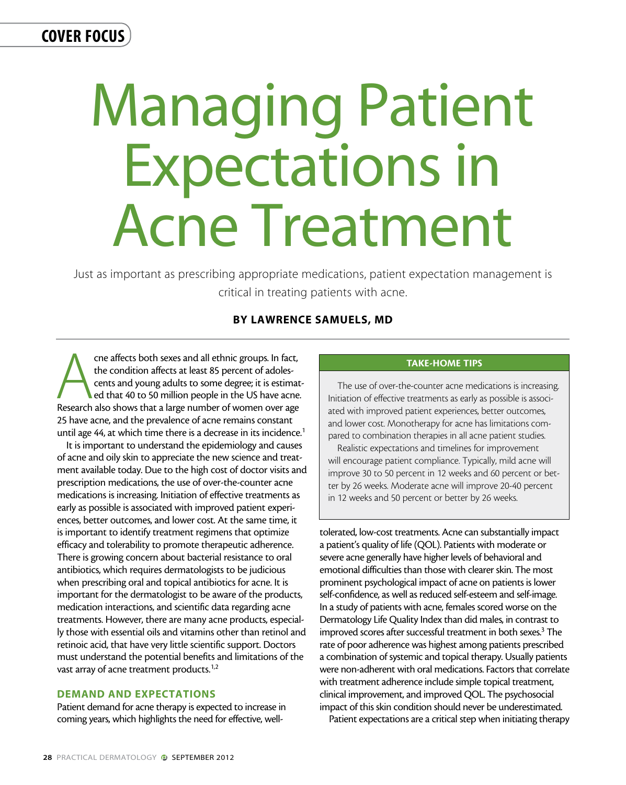# COVER FOCUS

# Managing Patient Expectations in Acne Treatment

Just as important as prescribing appropriate medications, patient expectation management is critical in treating patients with acne.

## By Lawrence Samuels, MD

The affects both sexes and all ethnic groups. In fact, the condition affects at least 85 percent of adoles-<br>
ents and young adults to some degree; it is estimated that 40 to 50 million people in the US have acne.<br>
Research the condition affects at least 85 percent of adolescents and young adults to some degree; it is estimated that 40 to 50 million people in the US have acne. 25 have acne, and the prevalence of acne remains constant until age 44, at which time there is a decrease in its incidence.<sup>1</sup>

It is important to understand the epidemiology and causes of acne and oily skin to appreciate the new science and treatment available today. Due to the high cost of doctor visits and prescription medications, the use of over-the-counter acne medications is increasing. Initiation of effective treatments as early as possible is associated with improved patient experiences, better outcomes, and lower cost. At the same time, it is important to identify treatment regimens that optimize efficacy and tolerability to promote therapeutic adherence. There is growing concern about bacterial resistance to oral antibiotics, which requires dermatologists to be judicious when prescribing oral and topical antibiotics for acne. It is important for the dermatologist to be aware of the products, medication interactions, and scientific data regarding acne treatments. However, there are many acne products, especially those with essential oils and vitamins other than retinol and retinoic acid, that have very little scientific support. Doctors must understand the potential benefits and limitations of the vast array of acne treatment products.<sup>1,2</sup>

#### Demand and Expectations

Patient demand for acne therapy is expected to increase in coming years, which highlights the need for effective, well-

## Take-Home Tips

The use of over-the-counter acne medications is increasing. Initiation of effective treatments as early as possible is associated with improved patient experiences, better outcomes, and lower cost. Monotherapy for acne has limitations compared to combination therapies in all acne patient studies.

Realistic expectations and timelines for improvement will encourage patient compliance. Typically, mild acne will improve 30 to 50 percent in 12 weeks and 60 percent or better by 26 weeks. Moderate acne will improve 20-40 percent in 12 weeks and 50 percent or better by 26 weeks.

tolerated, low-cost treatments. Acne can substantially impact a patient's quality of life (QOL). Patients with moderate or severe acne generally have higher levels of behavioral and emotional difficulties than those with clearer skin. The most prominent psychological impact of acne on patients is lower self-confidence, as well as reduced self-esteem and self-image. In a study of patients with acne, females scored worse on the Dermatology Life Quality Index than did males, in contrast to improved scores after successful treatment in both sexes.<sup>3</sup> The rate of poor adherence was highest among patients prescribed a combination of systemic and topical therapy. Usually patients were non-adherent with oral medications. Factors that correlate with treatment adherence include simple topical treatment, clinical improvement, and improved QOL. The psychosocial impact of this skin condition should never be underestimated.

Patient expectations are a critical step when initiating therapy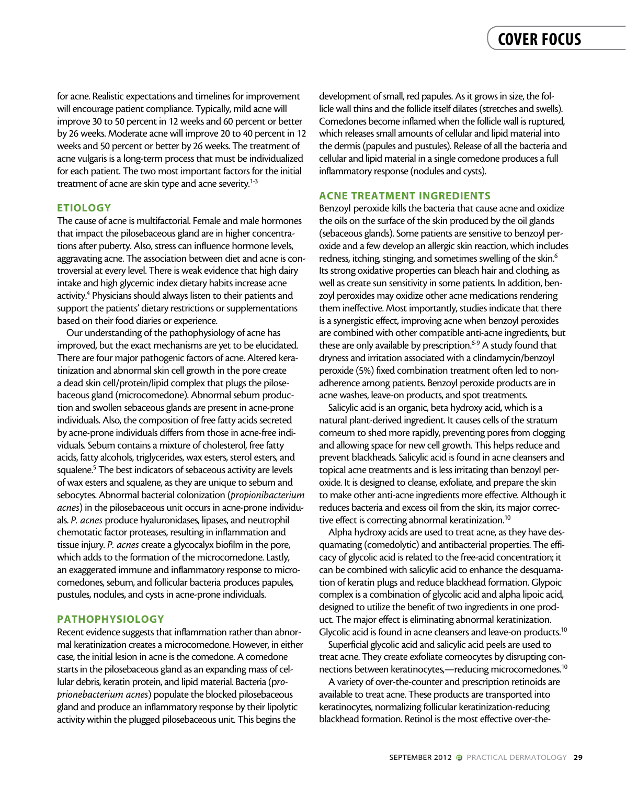for acne. Realistic expectations and timelines for improvement will encourage patient compliance. Typically, mild acne will improve 30 to 50 percent in 12 weeks and 60 percent or better by 26 weeks. Moderate acne will improve 20 to 40 percent in 12 weeks and 50 percent or better by 26 weeks. The treatment of acne vulgaris is a long-term process that must be individualized for each patient. The two most important factors for the initial treatment of acne are skin type and acne severity.<sup>1-3</sup>

#### **ETIOLOGY**

support the patients' dietary restrictions or supplementations based on their food diaries or experience. abors are pubelty. Also, stress can imacrice normone ievers, compared to the association between diet and acne is con-The cause of acne is multifactorial. Female and male hormones that impact the pilosebaceous gland are in higher concentrations after puberty. Also, stress can influence hormone levels, troversial at every level. There is weak evidence that high dairy intake and high glycemic index dietary habits increase acne activity.<sup>4</sup> Physicians should always listen to their patients and

support<br>based or<br>Our u<br>improve<br>There ar Our understanding of the pathophysiology of acne has improved, but the exact mechanisms are yet to be elucidated. There are four major pathogenic factors of acne. Altered keratinization and abnormal skin cell growth in the pore create a dead skin cell/protein/lipid complex that plugs the pilosebaceous gland (microcomedone). Abnormal sebum production and swollen sebaceous glands are present in acne-prone individuals. Also, the composition of free fatty acids secreted by acne-prone individuals differs from those in acne-free individuals. Sebum contains a mixture of cholesterol, free fatty acids, fatty alcohols, triglycerides, wax esters, sterol esters, and squalene.<sup>5</sup> The best indicators of sebaceous activity are levels of wax esters and squalene, as they are unique to sebum and sebocytes. Abnormal bacterial colonization (*propionibacterium acnes*) in the pilosebaceous unit occurs in acne-prone individuals. *P. acnes* produce hyaluronidases, lipases, and neutrophil chemotatic factor proteases, resulting in inflammation and tissue injury. *P. acnes* create a glycocalyx biofilm in the pore, which adds to the formation of the microcomedone. Lastly, an exaggerated immune and inflammatory response to microcomedones, sebum, and follicular bacteria produces papules, pustules, nodules, and cysts in acne-prone individuals.

#### **PATHOPHYSIOLOGY**

Recent evidence suggests that inflammation rather than abnormal keratinization creates a microcomedone. However, in either case, the initial lesion in acne is the comedone. A comedone starts in the pilosebaceous gland as an expanding mass of cellular debris, keratin protein, and lipid material. Bacteria (p*roprionebacterium acnes*) populate the blocked pilosebaceous gland and produce an inflammatory response by their lipolytic activity within the plugged pilosebaceous unit. This begins the

melines for improvement<br>
ypically, mild acne will<br>
s and 60 percent or better<br>
forecome inflam<br>
rove 20 to 40 percent in 12<br>
which releases small amour development of small, red papules. As it grows in size, the follicle wall thins and the follicle itself dilates (stretches and swells). Comedones become inflamed when the follicle wall is ruptured, which releases small amounts of cellular and lipid material into the dermis (papules and pustules). Release of all the bacteria and cellular and lipid material in a single comedone produces a full inflammatory response (nodules and cysts).

#### Acne Treatment Ingredients

the oils on the surface of the skin produced by the oil glands Benzoyl peroxide kills the bacteria that cause acne and oxidize (sebaceous glands). Some patients are sensitive to benzoyl peroxide and a few develop an allergic skin reaction, which includes redness, itching, stinging, and sometimes swelling of the skin.<sup>6</sup> Its strong oxidative properties can bleach hair and clothing, as well as create sun sensitivity in some patients. In addition, benzoyl peroxides may oxidize other acne medications rendering them ineffective. Most importantly, studies indicate that there is a synergistic effect, improving acne when benzoyl peroxides are combined with other compatible anti-acne ingredients, but these are only available by prescription.<sup>6-9</sup> A study found that dryness and irritation associated with a clindamycin/benzoyl peroxide (5%) fixed combination treatment often led to nonadherence among patients. Benzoyl peroxide products are in acne washes, leave-on products, and spot treatments.

Salicylic acid is an organic, beta hydroxy acid, which is a natural plant-derived ingredient. It causes cells of the stratum corneum to shed more rapidly, preventing pores from clogging and allowing space for new cell growth. This helps reduce and prevent blackheads. Salicylic acid is found in acne cleansers and topical acne treatments and is less irritating than benzoyl peroxide. It is designed to cleanse, exfoliate, and prepare the skin to make other anti-acne ingredients more effective. Although it reduces bacteria and excess oil from the skin, its major corrective effect is correcting abnormal keratinization.<sup>10</sup>

Alpha hydroxy acids are used to treat acne, as they have desquamating (comedolytic) and antibacterial properties. The efficacy of glycolic acid is related to the free-acid concentration; it can be combined with salicylic acid to enhance the desquamation of keratin plugs and reduce blackhead formation. Glypoic complex is a combination of glycolic acid and alpha lipoic acid, designed to utilize the benefit of two ingredients in one product. The major effect is eliminating abnormal keratinization. Glycolic acid is found in acne cleansers and leave-on products.<sup>10</sup>

Superficial glycolic acid and salicylic acid peels are used to treat acne. They create exfoliate corneocytes by disrupting connections between keratinocytes,—reducing microcomedones.10

A variety of over-the-counter and prescription retinoids are available to treat acne. These products are transported into keratinocytes, normalizing follicular keratinization-reducing blackhead formation. Retinol is the most effective over-the-